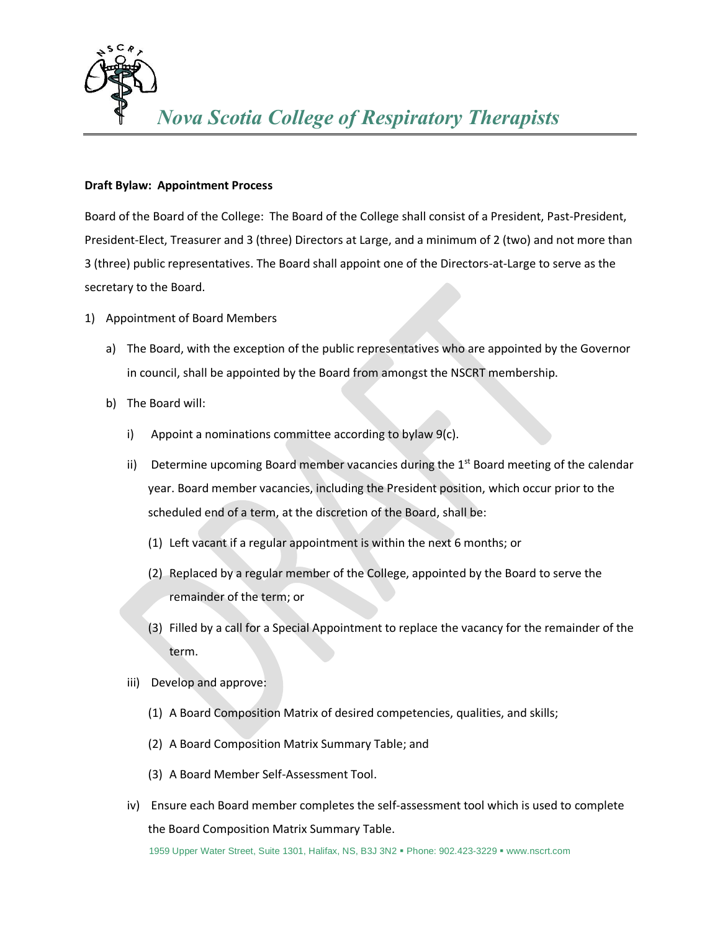

## **Draft Bylaw: Appointment Process**

Board of the Board of the College: The Board of the College shall consist of a President, Past-President, President-Elect, Treasurer and 3 (three) Directors at Large, and a minimum of 2 (two) and not more than 3 (three) public representatives. The Board shall appoint one of the Directors-at-Large to serve as the secretary to the Board.

- 1) Appointment of Board Members
	- a) The Board, with the exception of the public representatives who are appointed by the Governor in council, shall be appointed by the Board from amongst the NSCRT membership.
	- b) The Board will:
		- i) Appoint a nominations committee according to bylaw  $9(c)$ .
		- ii) Determine upcoming Board member vacancies during the  $1<sup>st</sup>$  Board meeting of the calendar year. Board member vacancies, including the President position, which occur prior to the scheduled end of a term, at the discretion of the Board, shall be:
			- (1) Left vacant if a regular appointment is within the next 6 months; or
			- (2) Replaced by a regular member of the College, appointed by the Board to serve the remainder of the term; or
			- (3) Filled by a call for a Special Appointment to replace the vacancy for the remainder of the term.
		- iii) Develop and approve:
			- (1) A Board Composition Matrix of desired competencies, qualities, and skills;
			- (2) A Board Composition Matrix Summary Table; and
			- (3) A Board Member Self-Assessment Tool.
		- iv) Ensure each Board member completes the self-assessment tool which is used to complete the Board Composition Matrix Summary Table.

1959 Upper Water Street, Suite 1301, Halifax, NS, B3J 3N2 ▪ Phone: 902.423-3229 ▪ www.nscrt.com